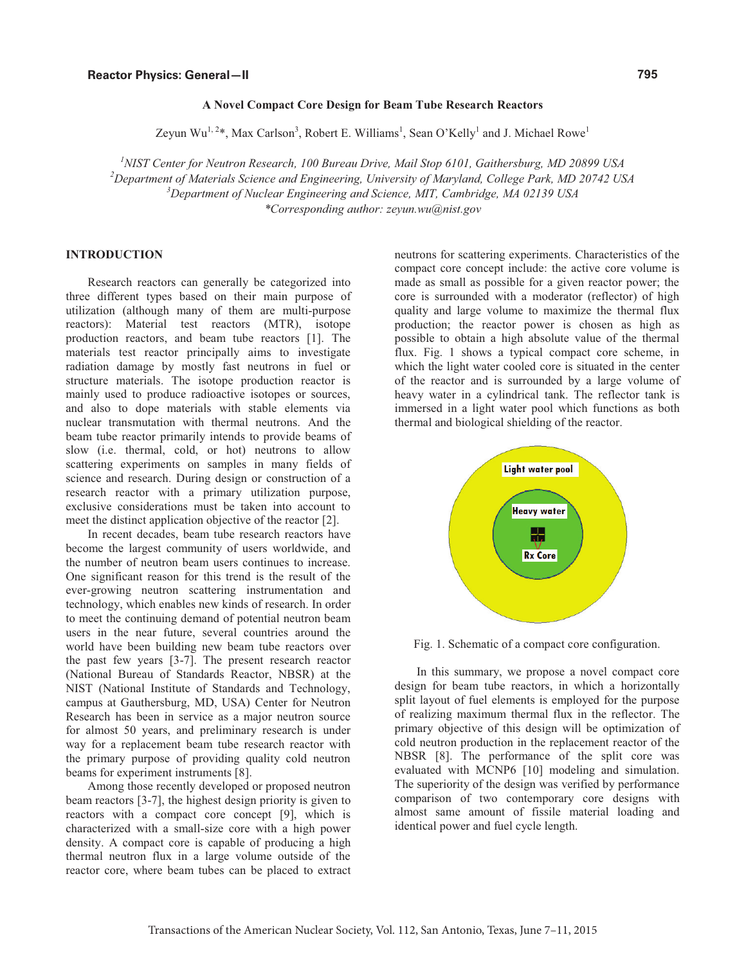## **A Novel Compact Core Design for Beam Tube Research Reactors**

Zeyun Wu<sup>1, 2</sup>\*, Max Carlson<sup>3</sup>, Robert E. Williams<sup>1</sup>, Sean O'Kelly<sup>1</sup> and J. Michael Rowe<sup>1</sup>

<sup>1</sup> NIST Center for Neutron Research, 100 Bureau Drive, Mail Stop 6101, Gaithersburg, MD 20899 USA<br><sup>2</sup> Department of Materials Science and Engineering, University of Mamland, College Bark, MD 20742 US <sup>2</sup>Department of Materials Science and Engineering, University of Maryland, College Park, MD 20742 USA *Department of Nuclear Engineering and Science, MIT, Cambridge, MA 02139 USA \*Corresponding author: zeyun.wu@nist.gov*

# **INTRODUCTION**

Research reactors can generally be categorized into three different types based on their main purpose of utilization (although many of them are multi-purpose reactors): Material test reactors (MTR), isotope production reactors, and beam tube reactors [1]. The materials test reactor principally aims to investigate radiation damage by mostly fast neutrons in fuel or structure materials. The isotope production reactor is mainly used to produce radioactive isotopes or sources, and also to dope materials with stable elements via nuclear transmutation with thermal neutrons. And the beam tube reactor primarily intends to provide beams of slow (i.e. thermal, cold, or hot) neutrons to allow scattering experiments on samples in many fields of science and research. During design or construction of a research reactor with a primary utilization purpose, exclusive considerations must be taken into account to meet the distinct application objective of the reactor [2].

In recent decades, beam tube research reactors have become the largest community of users worldwide, and the number of neutron beam users continues to increase. One significant reason for this trend is the result of the ever-growing neutron scattering instrumentation and technology, which enables new kinds of research. In order to meet the continuing demand of potential neutron beam users in the near future, several countries around the world have been building new beam tube reactors over the past few years [3-7]. The present research reactor (National Bureau of Standards Reactor, NBSR) at the NIST (National Institute of Standards and Technology, campus at Gauthersburg, MD, USA) Center for Neutron Research has been in service as a major neutron source for almost 50 years, and preliminary research is under way for a replacement beam tube research reactor with the primary purpose of providing quality cold neutron beams for experiment instruments [8].

Among those recently developed or proposed neutron beam reactors [3-7], the highest design priority is given to reactors with a compact core concept [9], which is characterized with a small-size core with a high power density. A compact core is capable of producing a high thermal neutron flux in a large volume outside of the reactor core, where beam tubes can be placed to extract

neutrons for scattering experiments. Characteristics of the compact core concept include: the active core volume is made as small as possible for a given reactor power; the core is surrounded with a moderator (reflector) of high quality and large volume to maximize the thermal flux production; the reactor power is chosen as high as possible to obtain a high absolute value of the thermal flux. Fig. 1 shows a typical compact core scheme, in which the light water cooled core is situated in the center of the reactor and is surrounded by a large volume of heavy water in a cylindrical tank. The reflector tank is immersed in a light water pool which functions as both thermal and biological shielding of the reactor.



Fig. 1. Schematic of a compact core configuration.

In this summary, we propose a novel compact core design for beam tube reactors, in which a horizontally split layout of fuel elements is employed for the purpose of realizing maximum thermal flux in the reflector. The primary objective of this design will be optimization of cold neutron production in the replacement reactor of the NBSR [8]. The performance of the split core was evaluated with MCNP6 [10] modeling and simulation. The superiority of the design was verified by performance comparison of two contemporary core designs with almost same amount of fissile material loading and identical power and fuel cycle length.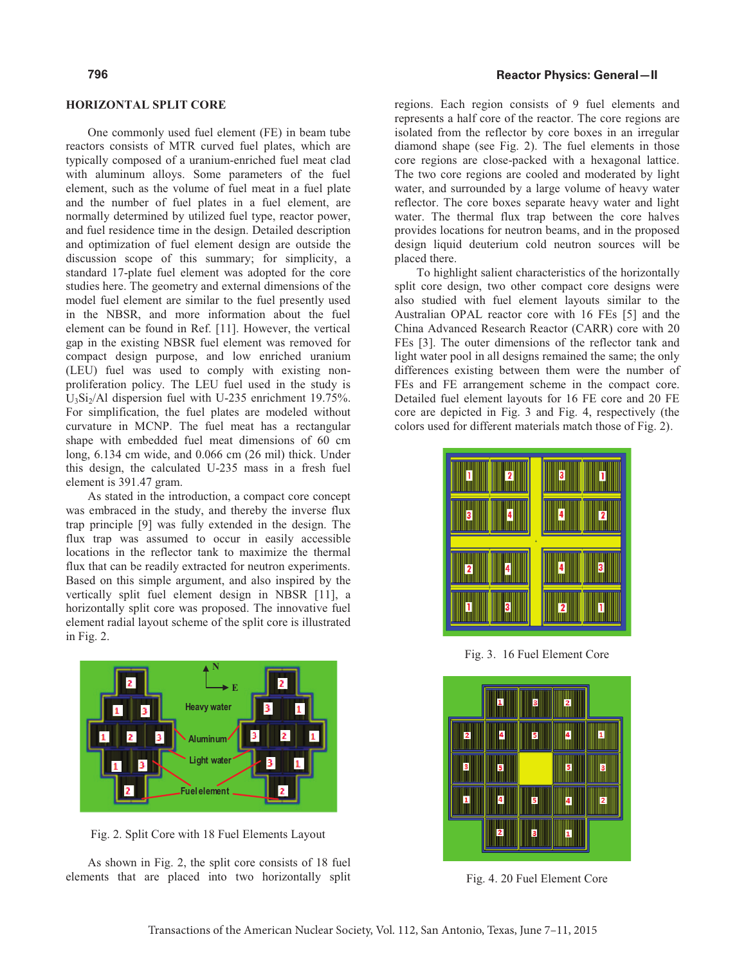#### **HORIZONTAL SPLIT CORE**

One commonly used fuel element (FE) in beam tube reactors consists of MTR curved fuel plates, which are typically composed of a uranium-enriched fuel meat clad with aluminum alloys. Some parameters of the fuel element, such as the volume of fuel meat in a fuel plate and the number of fuel plates in a fuel element, are normally determined by utilized fuel type, reactor power, and fuel residence time in the design. Detailed description and optimization of fuel element design are outside the discussion scope of this summary; for simplicity, a standard 17-plate fuel element was adopted for the core studies here. The geometry and external dimensions of the model fuel element are similar to the fuel presently used in the NBSR, and more information about the fuel element can be found in Ref. [11]. However, the vertical gap in the existing NBSR fuel element was removed for compact design purpose, and low enriched uranium (LEU) fuel was used to comply with existing nonproliferation policy. The LEU fuel used in the study is  $U_3Si_2/A1$  dispersion fuel with U-235 enrichment 19.75%. For simplification, the fuel plates are modeled without curvature in MCNP. The fuel meat has a rectangular shape with embedded fuel meat dimensions of 60 cm long, 6.134 cm wide, and 0.066 cm (26 mil) thick. Under this design, the calculated U-235 mass in a fresh fuel element is 391.47 gram.

As stated in the introduction, a compact core concept was embraced in the study, and thereby the inverse flux trap principle [9] was fully extended in the design. The flux trap was assumed to occur in easily accessible locations in the reflector tank to maximize the thermal flux that can be readily extracted for neutron experiments. Based on this simple argument, and also inspired by the vertically split fuel element design in NBSR [11], a horizontally split core was proposed. The innovative fuel element radial layout scheme of the split core is illustrated in Fig. 2.



Fig. 2. Split Core with 18 Fuel Elements Layout

As shown in Fig. 2, the split core consists of 18 fuel elements that are placed into two horizontally split

### **Reactor Physics: General—II**

regions. Each region consists of 9 fuel elements and represents a half core of the reactor. The core regions are isolated from the reflector by core boxes in an irregular diamond shape (see Fig. 2). The fuel elements in those core regions are close-packed with a hexagonal lattice. The two core regions are cooled and moderated by light water, and surrounded by a large volume of heavy water reflector. The core boxes separate heavy water and light water. The thermal flux trap between the core halves provides locations for neutron beams, and in the proposed design liquid deuterium cold neutron sources will be placed there.

To highlight salient characteristics of the horizontally split core design, two other compact core designs were also studied with fuel element layouts similar to the Australian OPAL reactor core with 16 FEs [5] and the China Advanced Research Reactor (CARR) core with 20 FEs [3]. The outer dimensions of the reflector tank and light water pool in all designs remained the same; the only differences existing between them were the number of FEs and FE arrangement scheme in the compact core. Detailed fuel element layouts for 16 FE core and 20 FE core are depicted in Fig. 3 and Fig. 4, respectively (the colors used for different materials match those of Fig. 2).



Fig. 3. 16 Fuel Element Core



Fig. 4. 20 Fuel Element Core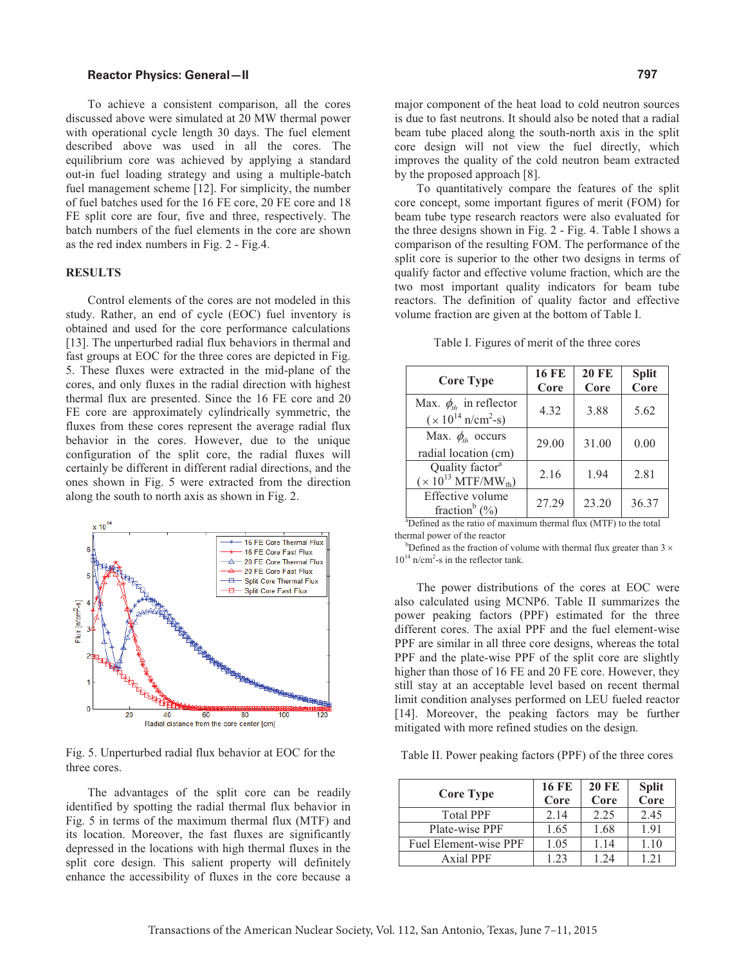#### **Reactor Physics: General—II**

To achieve a consistent comparison, all the cores discussed above were simulated at 20 MW thermal power with operational cycle length 30 days. The fuel element described above was used in all the cores. The equilibrium core was achieved by applying a standard out-in fuel loading strategy and using a multiple-batch fuel management scheme [12]. For simplicity, the number of fuel batches used for the 16 FE core, 20 FE core and 18 FE split core are four, five and three, respectively. The batch numbers of the fuel elements in the core are shown as the red index numbers in Fig. 2 - Fig.4.

### **RESULTS**

Control elements of the cores are not modeled in this study. Rather, an end of cycle (EOC) fuel inventory is obtained and used for the core performance calculations [13]. The unperturbed radial flux behaviors in thermal and fast groups at EOC for the three cores are depicted in Fig. 5. These fluxes were extracted in the mid-plane of the cores, and only fluxes in the radial direction with highest thermal flux are presented. Since the 16 FE core and 20 FE core are approximately cylindrically symmetric, the fluxes from these cores represent the average radial flux behavior in the cores. However, due to the unique configuration of the split core, the radial fluxes will certainly be different in different radial directions, and the ones shown in Fig. 5 were extracted from the direction along the south to north axis as shown in Fig. 2.



Fig. 5. Unperturbed radial flux behavior at EOC for the three cores.

The advantages of the split core can be readily identified by spotting the radial thermal flux behavior in Fig. 5 in terms of the maximum thermal flux (MTF) and its location. Moreover, the fast fluxes are significantly depressed in the locations with high thermal fluxes in the split core design. This salient property will definitely enhance the accessibility of fluxes in the core because a major component of the heat load to cold neutron sources is due to fast neutrons. It should also be noted that a radial beam tube placed along the south-north axis in the split core design will not view the fuel directly, which improves the quality of the cold neutron beam extracted by the proposed approach [8].

To quantitatively compare the features of the split core concept, some important figures of merit (FOM) for beam tube type research reactors were also evaluated for the three designs shown in Fig. 2 - Fig. 4. Table I shows a comparison of the resulting FOM. The performance of the split core is superior to the other two designs in terms of qualify factor and effective volume fraction, which are the two most important quality indicators for beam tube reactors. The definition of quality factor and effective volume fraction are given at the bottom of Table I.

#### Table I. Figures of merit of the three cores

| <b>Core Type</b>                                                        | <b>16 FE</b><br>Core | <b>20 FE</b><br>Core | <b>Split</b><br>Core |
|-------------------------------------------------------------------------|----------------------|----------------------|----------------------|
| Max. $\phi_{th}$ in reflector<br>$(x 10^{14} \text{ n/cm}^2 - s)$       | 4.32                 | 3.88                 | 5.62                 |
| Max. $\phi_{th}$ occurs<br>radial location (cm)                         | 29.00                | 31.00                | 0.00                 |
| Quality factor <sup>a</sup><br>$(\times 10^{13}$ MTF/MW <sub>th</sub> ) | 2.16                 | 1.94                 | 2.81                 |
| Effective volume<br>fraction <sup>b</sup> $(\% )$                       | 27.29                | 23.20                | 36.37                |

 $a<sup>a</sup>$ Defined as the ratio of maximum thermal flux (MTF) to the total thermal power of the reactor

 $b$ Defined as the fraction of volume with thermal flux greater than 3  $\times$  $10^{14}$  n/cm<sup>2</sup>-s in the reflector tank.

The power distributions of the cores at EOC were also calculated using MCNP6. Table II summarizes the power peaking factors (PPF) estimated for the three different cores. The axial PPF and the fuel element-wise PPF are similar in all three core designs, whereas the total PPF and the plate-wise PPF of the split core are slightly higher than those of 16 FE and 20 FE core. However, they still stay at an acceptable level based on recent thermal limit condition analyses performed on LEU fueled reactor [14]. Moreover, the peaking factors may be further mitigated with more refined studies on the design.

Table II. Power peaking factors (PPF) of the three cores

| <b>Core Type</b>      | <b>16 FE</b><br>Core | <b>20 FE</b><br>Core | <b>Split</b><br>Core |
|-----------------------|----------------------|----------------------|----------------------|
| <b>Total PPF</b>      | 2.14                 | 2.25                 | 2.45                 |
| Plate-wise PPF        | 1.65                 | 1.68                 | 1.91                 |
| Fuel Element-wise PPF | 1.05                 | 1.14                 | 1.10                 |
| Axial PPF             | 1.23                 | 1.24                 | 121                  |